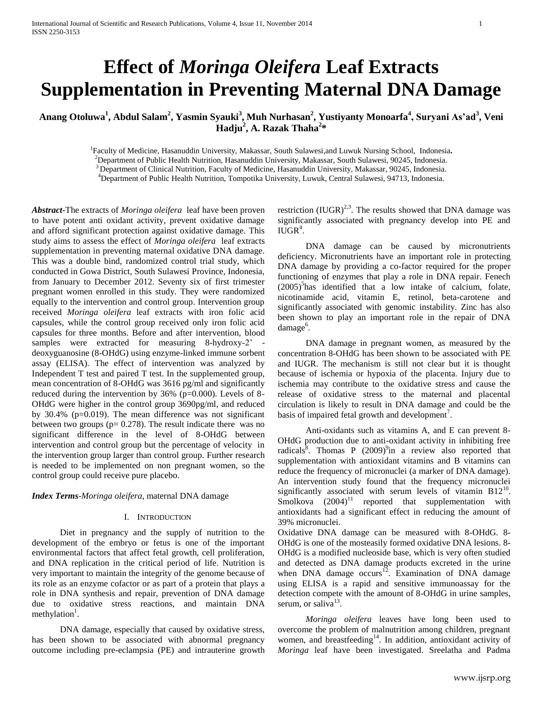# **Effect of** *Moringa Oleifera* **Leaf Extracts Supplementation in Preventing Maternal DNA Damage**

**Anang Otoluwa<sup>1</sup> , Abdul Salam<sup>2</sup> , Yasmin Syauki<sup>3</sup> , Muh Nurhasan<sup>2</sup> , Yustiyanty Monoarfa<sup>4</sup> , Suryani As'ad<sup>3</sup> , Veni Hadju<sup>2</sup> , A. Razak Thaha<sup>2</sup> \***

> Faculty of Medicine, Hasanuddin University, Makassar, South Sulawesi,and Luwuk Nursing School, Indonesia**.** Department of Public Health Nutrition, Hasanuddin University, Makassar, South Sulawesi, 90245, Indonesia. <sup>3</sup> Department of Clinical Nutrition, Faculty of Medicine, Hasanuddin University, Makassar, 90245, Indonesia. Department of Public Health Nutrition, Tompotika University, Luwuk, Central Sulawesi, 94713, Indonesia.

*Abstract***-**The extracts of *Moringa oleifera* leaf have been proven to have potent anti oxidant activity, prevent oxidative damage and afford significant protection against oxidative damage. This study aims to assess the effect of *Moringa oleifera* leaf extracts supplementation in preventing maternal oxidative DNA damage. This was a double bind, randomized control trial study, which conducted in Gowa District, South Sulawesi Province, Indonesia, from January to December 2012. Seventy six of first trimester pregnant women enrolled in this study. They were randomized equally to the intervention and control group. Intervention group received *Moringa oleifera* leaf extracts with iron folic acid capsules, while the control group received only iron folic acid capsules for three months. Before and after intervention, blood samples were extracted for measuring 8-hydroxy-2' deoxyguanosine (8-OHdG) using enzyme-linked immune sorbent assay (ELISA). The effect of intervention was analyzed by Independent T test and paired T test. In the supplemented group, mean concentration of 8-OHdG was 3616 pg/ml and significantly reduced during the intervention by 36% (p=0.000). Levels of 8- OHdG were higher in the control group 3690pg/ml, and reduced by 30.4% (p=0.019). The mean difference was not significant between two groups ( $p= 0.278$ ). The result indicate there was no significant difference in the level of 8-OHdG between intervention and control group but the percentage of velocity in the intervention group larger than control group. Further research is needed to be implemented on non pregnant women, so the control group could receive pure placebo.

# *Index Terms*-*Moringa oleifera*, maternal DNA damage

# I. INTRODUCTION

Diet in pregnancy and the supply of nutrition to the development of the embryo or fetus is one of the important environmental factors that affect fetal growth, cell proliferation, and DNA replication in the critical period of life. Nutrition is very important to maintain the integrity of the genome because of its role as an enzyme cofactor or as part of a protein that plays a role in DNA synthesis and repair, prevention of DNA damage due to oxidative stress reactions, and maintain DNA methylation<sup>1</sup>.

DNA damage, especially that caused by oxidative stress, has been shown to be associated with abnormal pregnancy outcome including pre-eclampsia (PE) and intrauterine growth restriction  $(IUGR)^{2,3}$ . The results showed that DNA damage was significantly associated with pregnancy develop into PE and  $\tilde{\text{IUGR}}^4$ .

DNA damage can be caused by micronutrients deficiency. Micronutrients have an important role in protecting DNA damage by providing a co-factor required for the proper functioning of enzymes that play a role in DNA repair. Fenech  $(2005)^{5}$ has identified that a low intake of calcium, folate, nicotinamide acid, vitamin E, retinol, beta-carotene and significantly associated with genomic instability. Zinc has also been shown to play an important role in the repair of DNA damage<sup>6</sup>.

DNA damage in pregnant women, as measured by the concentration 8-OHdG has been shown to be associated with PE and IUGR. The mechanism is still not clear but it is thought because of ischemia or hypoxia of the placenta. Injury due to ischemia may contribute to the oxidative stress and cause the release of oxidative stress to the maternal and placental circulation is likely to result in DNA damage and could be the basis of impaired fetal growth and development<sup>7</sup>.

Anti-oxidants such as vitamins A, and E can prevent 8- OHdG production due to anti-oxidant activity in inhibiting free radicals<sup>8</sup>. Thomas P  $(2009)^9$ in a review also reported that supplementation with antioxidant vitamins and B vitamins can reduce the frequency of micronuclei (a marker of DNA damage). An intervention study found that the frequency micronuclei significantly associated with serum levels of vitamin  $B12^{10}$ .  $Smolkova$   $(2004)^{11}$  reported that supplementation with antioxidants had a significant effect in reducing the amount of 39% micronuclei.

Oxidative DNA damage can be measured with 8-OHdG. 8- OHdG is one of the mosteasily formed oxidative DNA lesions. 8- OHdG is a modified nucleoside base, which is very often studied and detected as DNA damage products excreted in the urine when DNA damage occurs<sup>12</sup>. Examination of DNA damage using ELISA is a rapid and sensitive immunoassay for the detection compete with the amount of 8-OHdG in urine samples, serum, or saliva $13$ .

*Moringa oleifera* leaves have long been used to overcome the problem of malnutrition among children, pregnant women, and breastfeeding<sup>14</sup>. In addition, antioxidant activity of *Moringa* leaf have been investigated. Sreelatha and Padma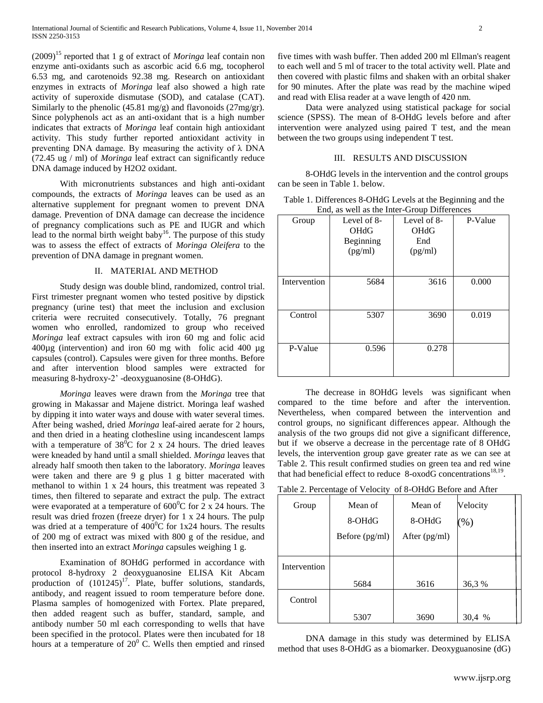$(2009)^{15}$  reported that 1 g of extract of *Moringa* leaf contain non enzyme anti-oxidants such as ascorbic acid 6.6 mg, tocopherol 6.53 mg, and carotenoids 92.38 mg. Research on antioxidant enzymes in extracts of *Moringa* leaf also showed a high rate activity of superoxide dismutase (SOD), and catalase (CAT). Similarly to the phenolic (45.81 mg/g) and flavonoids (27mg/gr). Since polyphenols act as an anti-oxidant that is a high number indicates that extracts of *Moringa* leaf contain high antioxidant activity. This study further reported antioxidant activity in preventing DNA damage. By measuring the activity of  $\lambda$  DNA (72.45 ug / ml) of *Moringa* leaf extract can significantly reduce DNA damage induced by H2O2 oxidant.

With micronutrients substances and high anti-oxidant compounds, the extracts of *Moringa* leaves can be used as an alternative supplement for pregnant women to prevent DNA damage. Prevention of DNA damage can decrease the incidence of pregnancy complications such as PE and IUGR and which lead to the normal birth weight baby<sup>16</sup>. The purpose of this study was to assess the effect of extracts of *Moringa Oleifera* to the prevention of DNA damage in pregnant women.

## II. MATERIAL AND METHOD

Study design was double blind, randomized, control trial. First trimester pregnant women who tested positive by dipstick pregnancy (urine test) that meet the inclusion and exclusion criteria were recruited consecutively. Totally, 76 pregnant women who enrolled, randomized to group who received *Moringa* leaf extract capsules with iron 60 mg and folic acid 400µg (intervention) and iron 60 mg with folic acid 400 µg capsules (control). Capsules were given for three months. Before and after intervention blood samples were extracted for measuring 8-hydroxy-2' -deoxyguanosine (8-OHdG).

*Moringa* leaves were drawn from the *Moringa* tree that growing in Makassar and Majene district. Moringa leaf washed by dipping it into water ways and douse with water several times. After being washed, dried *Moringa* leaf-aired aerate for 2 hours, and then dried in a heating clothesline using incandescent lamps with a temperature of  $38^{\circ}$ C for 2 x 24 hours. The dried leaves were kneaded by hand until a small shielded. *Moringa* leaves that already half smooth then taken to the laboratory. *Moringa* leaves were taken and there are 9 g plus 1 g bitter macerated with methanol to within 1 x 24 hours, this treatment was repeated 3 times, then filtered to separate and extract the pulp. The extract were evaporated at a temperature of  $600^{\circ}$ C for 2 x 24 hours. The result was dried frozen (freeze dryer) for 1 x 24 hours. The pulp was dried at a temperature of  $400^{\circ}$ C for 1x24 hours. The results of 200 mg of extract was mixed with 800 g of the residue, and then inserted into an extract *Moringa* capsules weighing 1 g.

Examination of 8OHdG performed in accordance with protocol 8-hydroxy 2 deoxyguanosine ELISA Kit Abcam production of  $(101245)^{17}$ . Plate, buffer solutions, standards, antibody, and reagent issued to room temperature before done. Plasma samples of homogenized with Fortex. Plate prepared, then added reagent such as buffer, standard, sample, and antibody number 50 ml each corresponding to wells that have been specified in the protocol. Plates were then incubated for 18 hours at a temperature of  $20^{\circ}$  C. Wells then emptied and rinsed

five times with wash buffer. Then added 200 ml Ellman's reagent to each well and 5 ml of tracer to the total activity well. Plate and then covered with plastic films and shaken with an orbital shaker for 90 minutes. After the plate was read by the machine wiped and read with Elisa reader at a wave length of 420 nm.

Data were analyzed using statistical package for social science (SPSS). The mean of 8-OHdG levels before and after intervention were analyzed using paired T test, and the mean between the two groups using independent T test.

# III. RESULTS AND DISCUSSION

8-OHdG levels in the intervention and the control groups can be seen in Table 1. below.

| Table 1. Differences 8-OHdG Levels at the Beginning and the |
|-------------------------------------------------------------|
| End, as well as the Inter-Group Differences                 |

| Group        | Level of 8-<br><b>OHdG</b><br>Beginning<br>(pg/ml) | Level of 8-<br><b>OHdG</b><br>End<br>(pg/ml) | P-Value |
|--------------|----------------------------------------------------|----------------------------------------------|---------|
| Intervention | 5684                                               | 3616                                         | 0.000   |
| Control      | 5307                                               | 3690                                         | 0.019   |
| P-Value      | 0.596                                              | 0.278                                        |         |

The decrease in 8OHdG levels was significant when compared to the time before and after the intervention. Nevertheless, when compared between the intervention and control groups, no significant differences appear. Although the analysis of the two groups did not give a significant difference, but if we observe a decrease in the percentage rate of 8 OHdG levels, the intervention group gave greater rate as we can see at Table 2. This result confirmed studies on green tea and red wine that had beneficial effect to reduce  $8$ -oxodG concentrations<sup>18,19</sup>.

Table 2. Percentage of Velocity of 8-OHdG Before and After

| Group        | Mean of        | Mean of       | Velocity          |
|--------------|----------------|---------------|-------------------|
|              | 8-OHdG         | 8-OHdG        | $\mathcal{O}_0$ ) |
|              | Before (pg/ml) | After (pg/ml) |                   |
|              |                |               |                   |
| Intervention |                |               |                   |
|              | 5684           | 3616          | 36,3%             |
| Control      |                |               |                   |
|              | 5307           | 3690          | 30,4 %            |

DNA damage in this study was determined by ELISA method that uses 8-OHdG as a biomarker. Deoxyguanosine (dG)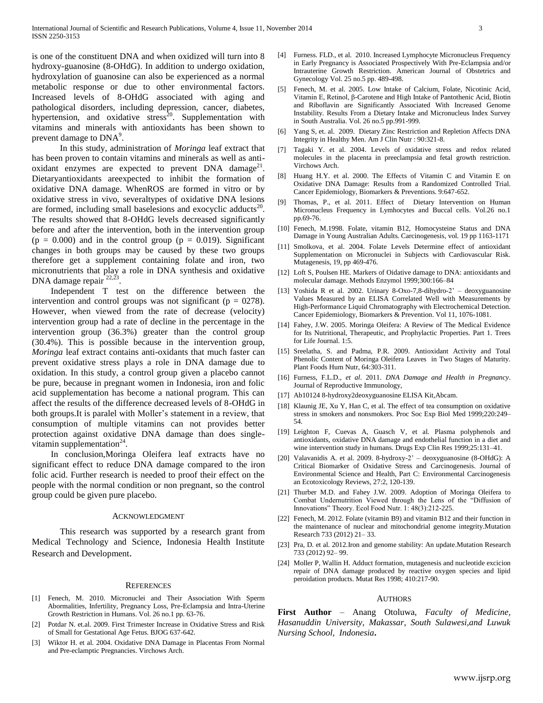is one of the constituent DNA and when oxidized will turn into 8 hydroxy-guanosine (8-OHdG). In addition to undergo oxidation, hydroxylation of guanosine can also be experienced as a normal metabolic response or due to other environmental factors. Increased levels of 8-OHdG associated with aging and pathological disorders, including depression, cancer, diabetes, hypertension, and oxidative stress<sup>20</sup>. Supplementation with vitamins and minerals with antioxidants has been shown to prevent damage to  $DNA<sup>9</sup>$ .

In this study, administration of *Moringa* leaf extract that has been proven to contain vitamins and minerals as well as antioxidant enzymes are expected to prevent  $DNA$  damage<sup>21</sup>. Dietaryantioxidants areexpected to inhibit the formation of oxidative DNA damage. WhenROS are formed in vitro or by oxidative stress in vivo, severaltypes of oxidative DNA lesions are formed, including small baselesions and exocyclic adducts<sup>20</sup>. The results showed that 8-OHdG levels decreased significantly before and after the intervention, both in the intervention group  $(p = 0.000)$  and in the control group  $(p = 0.019)$ . Significant changes in both groups may be caused by these two groups therefore get a supplement containing folate and iron, two micronutrients that play a role in DNA synthesis and oxidative DNA damage repair <sup>22,23</sup> .

Independent T test on the difference between the intervention and control groups was not significant ( $p = 0278$ ). However, when viewed from the rate of decrease (velocity) intervention group had a rate of decline in the percentage in the intervention group (36.3%) greater than the control group (30.4%). This is possible because in the intervention group, *Moringa* leaf extract contains anti-oxidants that much faster can prevent oxidative stress plays a role in DNA damage due to oxidation. In this study, a control group given a placebo cannot be pure, because in pregnant women in Indonesia, iron and folic acid supplementation has become a national program. This can affect the results of the difference decreased levels of 8-OHdG in both groups.It is paralel with Moller's statement in a review, that consumption of multiple vitamins can not provides better protection against oxidative DNA damage than does singlevitamin supplementation $24$ .

In conclusion,Moringa Oleifera leaf extracts have no significant effect to reduce DNA damage compared to the iron folic acid. Further research is needed to proof their effect on the people with the normal condition or non pregnant, so the control group could be given pure placebo.

# ACKNOWLEDGMENT

This research was supported by a research grant from Medical Technology and Science, Indonesia Health Institute Research and Development.

### **REFERENCES**

- [1] Fenech, M. 2010. Micronuclei and Their Association With Sperm Abormalities, Infertility, Pregnancy Loss, Pre-Eclampsia and Intra-Uterine Growth Restriction in Humans. Vol. 26 no.1 pp. 63-76.
- [2] Potdar N. et.al. 2009. First Trimester Increase in Oxidative Stress and Risk of Small for Gestational Age Fetus. BJOG 637-642.
- [3] Wiktor H. et al. 2004. Oxidative DNA Damage in Placentas From Normal and Pre-eclamptic Pregnancies. Virchows Arch.
- [4] Furness. FLD., et al. 2010. Increased Lymphocyte Micronucleus Frequency in Early Pregnancy is Associated Prospectively With Pre-Eclampsia and/or Intrauterine Growth Restriction. American Journal of Obstetrics and Gynecology Vol. 25 no.5 pp. 489-498.
- [5] Fenech, M. et al. 2005. Low Intake of Calcium, Folate, Nicotinic Acid, Vitamin E, Retinol, β-Carotene and High Intake of Pantothenic Acid, Biotin and Riboflavin are Significantly Associated With Increased Genome Instability. Results From a Dietary Intake and Micronucleus Index Survey in South Australia. Vol. 26 no.5 pp.991-999.
- [6] Yang S, et. al. 2009. Dietary Zinc Restriction and Repletion Affects DNA Integrity in Healthy Men. Am J Clin Nutr : 90:321-8.
- [7] Tagaki Y. et al. 2004. Levels of oxidative stress and redox related molecules in the placenta in preeclampsia and fetal growth restriction. Virchows Arch.
- [8] Huang H.Y. et al. 2000. The Effects of Vitamin C and Vitamin E on Oxidative DNA Damage: Results from a Randomized Controlled Trial. Cancer Epidemiology, Biomarkers & Preventions. 9:647-652.
- [9] Thomas, P., et al. 2011. Effect of Dietary Intervention on Human Micronucleus Frequency in Lymhocytes and Buccal cells. Vol.26 no.1 pp.69-76.
- [10] Fenech, M.1998. Folate, vitamin B12, Homocysteine Status and DNA Damage in Young Australian Adults. Carcinogenesis, vol. 19 pp 1163-1171
- [11] Smolkova, et al. 2004. Folate Levels Determine effect of antioxidant Supplementation on Micronuclei in Subjects with Cardiovascular Risk. Mutagenesis, 19, pp 469-476.
- [12] Loft S, Poulsen HE. Markers of Oidative damage to DNA: antioxidants and molecular damage. Methods Enzymol 1999;300:166–84
- [13] Yoshida R et al. 2002. Urinary 8-Oxo-7,8-dihydro-2' deoxyguanosine Values Measured by an ELISA Correlated Well with Measurements by High-Performance Liquid Chromatography with Electrochemical Detection. Cancer Epidemiology, Biomarkers & Prevention. Vol 11, 1076-1081.
- [14] Fahey, J.W. 2005. Moringa Oleifera: A Review of The Medical Evidence for Its Nutritional, Therapeutic, and Prophylactic Properties. Part 1. Trees for Life Journal. 1:5.
- [15] Sreelatha, S. and Padma, P.R. 2009. Antioxidant Activity and Total Phenolic Content of Moringa Oleifera Leaves in Two Stages of Maturity. Plant Foods Hum Nutr, 64:303-311.
- [16] Furness, F.L.D., *et al*. 2011. *DNA Damage and Health in Pregnancy*. Journal of Reproductive Immunology,
- [17] Ab10124 8-hydroxy2deoxyguanosine ELISA Kit,Abcam.
- [18] Klaunig JE, Xu Y, Han C, et al. The effect of tea consumption on oxidative stress in smokers and nonsmokers. Proc Soc Exp Biol Med 1999;220:249– 54.
- [19] Leighton F, Cuevas A, Guasch V, et al. Plasma polyphenols and antioxidants, oxidative DNA damage and endothelial function in a diet and wine intervention study in humans. Drugs Exp Clin Res 1999;25:131–41.
- [20] Valavanidis A. et al. 2009. 8-hydroxy-2' deoxyguanosine (8-OHdG): A Critical Biomarker of Oxidative Stress and Carcinogenesis. Journal of Environmental Science and Health, Part C: Environmental Carcinogenesis an Ecotoxicology Reviews, 27:2, 120-139.
- [21] Thurber M.D. and Fahey J.W. 2009. Adoption of Moringa Oleifera to Combat Undernutrition Viewed through the Lens of the "Diffusion of Innovations" Theory. Ecol Food Nutr. 1: 48(3):212-225.
- [22] Fenech, M. 2012. Folate (vitamin B9) and vitamin B12 and their function in the maintenance of nuclear and mitochondrial genome integrity.Mutation Research 733 (2012) 21– 33.
- [23] Pra, D. et al. 2012.Iron and genome stability: An update.Mutation Research 733 (2012) 92– 99.
- [24] Moller P, Wallin H. Adduct formation, mutagenesis and nucleotide excicion repair of DNA damage produced by reactive oxygen species and lipid peroidation products. Mutat Res 1998; 410:217-90.

### AUTHORS

**First Author** – Anang Otoluwa, *Faculty of Medicine, Hasanuddin University, Makassar, South Sulawesi,and Luwuk Nursing School, Indonesia***.**